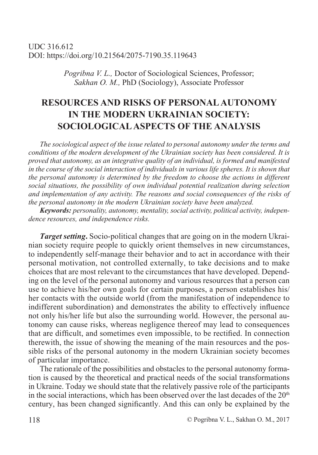*Pogribna V. L.,* Doctor of Sociological Sciences, Professor; *Sakhan O. M.,* PhD (Sociology), Associate Professor

# **RESOURCES AND RISKS OF PERSONAL AUTONOMY IN THE MODERN UKRAINIAN SOCIETY: SOCIOLOGICAL ASPECTS OF THE ANALYSIS**

*The sociological aspect of the issue related to personal autonomy under the terms and conditions of the modern development of the Ukrainian society has been considered. It is proved that autonomy, as an integrative quality of an individual, is formed and manifested in the course of the social interaction of individuals in various life spheres. It is shown that the personal autonomy is determined by the freedom to choose the actions in different social situations, the possibility of own individual potential realization during selection and implementation of any activity. The reasons and social consequences of the risks of the personal autonomy in the modern Ukrainian society have been analyzed.*

*Keywords: personality, autonomy, mentality, social activity, political activity, independence resources, and independence risks.*

*Target setting***.** Socio-political changes that are going on in the modern Ukrainian society require people to quickly orient themselves in new circumstances, to independently self-manage their behavior and to act in accordance with their personal motivation, not controlled externally, to take decisions and to make choices that are most relevant to the circumstances that have developed. Depending on the level of the personal autonomy and various resources that a person can use to achieve his/her own goals for certain purposes, a person establishes his/ her contacts with the outside world (from the manifestation of independence to indifferent subordination) and demonstrates the ability to effectively influence not only his/her life but also the surrounding world. However, the personal autonomy can cause risks, whereas negligence thereof may lead to consequences that are difficult, and sometimes even impossible, to be rectified. In connection therewith, the issue of showing the meaning of the main resources and the possible risks of the personal autonomy in the modern Ukrainian society becomes of particular importance.

The rationale of the possibilities and obstacles to the personal autonomy formation is caused by the theoretical and practical needs of the social transformations in Ukraine. Today we should state that the relatively passive role of the participants in the social interactions, which has been observed over the last decades of the  $20<sup>th</sup>$ century, has been changed significantly. And this can only be explained by the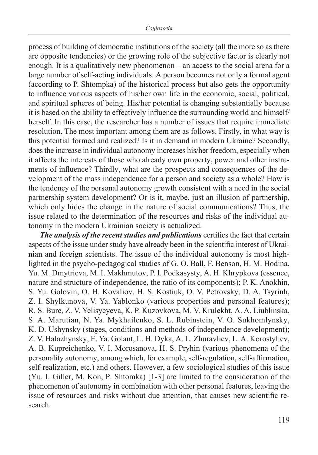process of building of democratic institutions of the society (all the more so as there are opposite tendencies) or the growing role of the subjective factor is clearly not enough. It is a qualitatively new phenomenon – an access to the social arena for a large number of self-acting individuals. A person becomes not only a formal agent (according to P. Shtompka) of the historical process but also gets the opportunity to influence various aspects of his/her own life in the economic, social, political, and spiritual spheres of being. His/her potential is changing substantially because it is based on the ability to effectively influence the surrounding world and himself/ herself. In this case, the researcher has a number of issues that require immediate resolution. The most important among them are as follows. Firstly, in what way is this potential formed and realized? Is it in demand in modern Ukraine? Secondly, does the increase in individual autonomy increases his/her freedom, especially when it affects the interests of those who already own property, power and other instruments of influence? Thirdly, what are the prospects and consequences of the development of the mass independence for a person and society as a whole? How is the tendency of the personal autonomy growth consistent with a need in the social partnership system development? Or is it, maybe, just an illusion of partnership, which only hides the change in the nature of social communications? Thus, the issue related to the determination of the resources and risks of the individual autonomy in the modern Ukrainian society is actualized.

*The analysis of the recent studies and publications* certifies the fact that certain aspects of the issue under study have already been in the scientific interest of Ukrainian and foreign scientists. The issue of the individual autonomy is most highlighted in the psycho-pedagogical studies of G. O. Ball, F. Benson, H. M. Hodina, Yu. M. Dmytrieva, M. I. Makhmutov, P. I. Podkasysty, A. H. Khrypkova (essence, nature and structure of independence, the ratio of its components); P. K. Anokhin, S. Yu. Golovin, O. H. Kovaliov, H. S. Kostiuk, O. V. Petrovsky, D. A. Tsyrinh, Z. I. Shylkunova, V. Ya. Yablonko (various properties and personal features); R. S. Bure, Z. V. Yelisyeyeva, K. P. Kuzovkova, M. V. Krulekht, A. A. Liublinska, S. A. Marutian, N. Ya. Mykhailenko, S. L. Rubinstein, V. O. Sukhomlynsky, K. D. Ushynsky (stages, conditions and methods of independence development); Z. V. Halazhynsky, E. Ya. Golant, L. H. Dyka, A. L. Zhuravliev, L. A. Korostyliev, A. B. Kupreichenko, V. I. Morosanova, H. S. Pryhin (various phenomena of the personality autonomy, among which, for example, self-regulation, self-affirmation, self-realization, etc.) and others. However, a few sociological studies of this issue (Yu. I. Giller, M. Kon, P. Shtomka) [1-3] are limited to the consideration of the phenomenon of autonomy in combination with other personal features, leaving the issue of resources and risks without due attention, that causes new scientific research.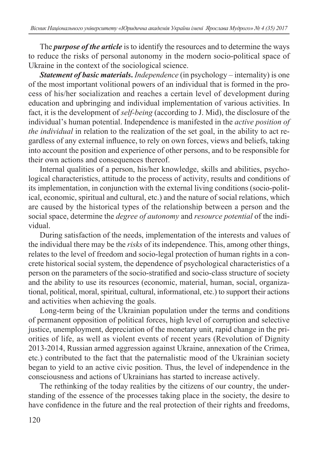The *purpose of the article* is to identify the resources and to determine the ways to reduce the risks of personal autonomy in the modern socio-political space of Ukraine in the context of the sociological science.

*Statement of basic materials***.** *Independence* (in psychology – internality) is one of the most important volitional powers of an individual that is formed in the process of his/her socialization and reaches a certain level of development during education and upbringing and individual implementation of various activities. In fact, it is the development of *self-being* (according to J. Mid), the disclosure of the individual's human potential. Independence is manifested in the *active position of the individual* in relation to the realization of the set goal, in the ability to act regardless of any external influence, to rely on own forces, views and beliefs, taking into account the position and experience of other persons, and to be responsible for their own actions and consequences thereof.

Internal qualities of a person, his/her knowledge, skills and abilities, psychological characteristics, attitude to the process of activity, results and conditions of its implementation, in conjunction with the external living conditions (socio-political, economic, spiritual and cultural, etc.) and the nature of social relations, which are caused by the historical types of the relationship between a person and the social space, determine the *degree of autonomy* and *resource potential* of the individual.

During satisfaction of the needs, implementation of the interests and values of the individual there may be the *risks* of its independence. This, among other things, relates to the level of freedom and socio-legal protection of human rights in a concrete historical social system, the dependence of psychological characteristics of a person on the parameters of the socio-stratified and socio-class structure of society and the ability to use its resources (economic, material, human, social, organizational, political, moral, spiritual, cultural, informational, etc.) to support their actions and activities when achieving the goals.

Long-term being of the Ukrainian population under the terms and conditions of permanent opposition of political forces, high level of corruption and selective justice, unemployment, depreciation of the monetary unit, rapid change in the priorities of life, as well as violent events of recent years (Revolution of Dignity 2013-2014, Russian armed aggression against Ukraine, annexation of the Crimea, etc.) contributed to the fact that the paternalistic mood of the Ukrainian society began to yield to an active civic position. Thus, the level of independence in the consciousness and actions of Ukrainians has started to increase actively.

The rethinking of the today realities by the citizens of our country, the understanding of the essence of the processes taking place in the society, the desire to have confidence in the future and the real protection of their rights and freedoms,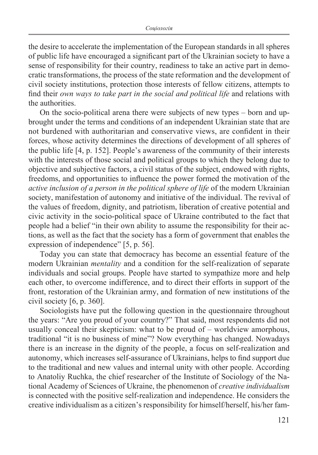the desire to accelerate the implementation of the European standards in all spheres of public life have encouraged a significant part of the Ukrainian society to have a sense of responsibility for their country, readiness to take an active part in democratic transformations, the process of the state reformation and the development of civil society institutions, protection those interests of fellow citizens, attempts to find their *own ways to take part in the social and political life* and relations with the authorities.

On the socio-political arena there were subjects of new types – born and upbrought under the terms and conditions of an independent Ukrainian state that are not burdened with authoritarian and conservative views, are confident in their forces, whose activity determines the directions of development of all spheres of the public life [4, p. 152]. People's awareness of the community of their interests with the interests of those social and political groups to which they belong due to objective and subjective factors, a civil status of the subject, endowed with rights, freedoms, and opportunities to influence the power formed the motivation of the *active inclusion of a person in the political sphere of life* of the modern Ukrainian society, manifestation of autonomy and initiative of the individual. The revival of the values of freedom, dignity, and patriotism, liberation of creative potential and civic activity in the socio-political space of Ukraine contributed to the fact that people had a belief "in their own ability to assume the responsibility for their actions, as well as the fact that the society has a form of government that enables the expression of independence" [5, p. 56].

Today you can state that democracy has become an essential feature of the modern Ukrainian *mentality* and a condition for the self-realization of separate individuals and social groups. People have started to sympathize more and help each other, to overcome indifference, and to direct their efforts in support of the front, restoration of the Ukrainian army, and formation of new institutions of the civil society [6, p. 360].

Sociologists have put the following question in the questionnaire throughout the years: "Are you proud of your country?" That said, most respondents did not usually conceal their skepticism: what to be proud of – worldview amorphous, traditional "it is no business of mine"? Now everything has changed. Nowadays there is an increase in the dignity of the people, a focus on self-realization and autonomy, which increases self-assurance of Ukrainians, helps to find support due to the traditional and new values and internal unity with other people. According to Anatoliy Ruchka, the chief researcher of the Institute of Sociology of the National Academy of Sciences of Ukraine, the phenomenon of *creative individualism* is connected with the positive self-realization and independence. He considers the creative individualism as a citizen's responsibility for himself/herself, his/her fam-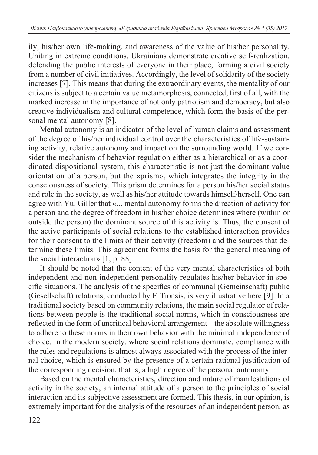ily, his/her own life-making, and awareness of the value of his/her personality. Uniting in extreme conditions, Ukrainians demonstrate creative self-realization, defending the public interests of everyone in their place, forming a civil society from a number of civil initiatives. Accordingly, the level of solidarity of the society increases [7]. This means that during the extraordinary events, the mentality of our citizens is subject to a certain value metamorphosis, connected, first of all, with the marked increase in the importance of not only patriotism and democracy, but also creative individualism and cultural competence, which form the basis of the personal mental autonomy [8].

Mental autonomy is an indicator of the level of human claims and assessment of the degree of his/her individual control over the characteristics of life-sustaining activity, relative autonomy and impact on the surrounding world. If we consider the mechanism of behavior regulation either as a hierarchical or as a coordinated dispositional system, this characteristic is not just the dominant value orientation of a person, but the «prism», which integrates the integrity in the consciousness of society. This prism determines for a person his/her social status and role in the society, as well as his/her attitude towards himself/herself. One can agree with Yu. Giller that «... mental autonomy forms the direction of activity for a person and the degree of freedom in his/her choice determines where (within or outside the person) the dominant source of this activity is. Thus, the consent of the active participants of social relations to the established interaction provides for their consent to the limits of their activity (freedom) and the sources that determine these limits. This agreement forms the basis for the general meaning of the social interaction» [1, p. 88].

It should be noted that the content of the very mental characteristics of both independent and non-independent personality regulates his/her behavior in specific situations. The analysis of the specifics of communal (Gemeinschaft) public (Gesellschaft) relations, conducted by F. Tionsis, is very illustrative here [9]. In a traditional society based on community relations, the main social regulator of relations between people is the traditional social norms, which in consciousness are reflected in the form of uncritical behavioral arrangement – the absolute willingness to adhere to these norms in their own behavior with the minimal independence of choice. In the modern society, where social relations dominate, compliance with the rules and regulations is almost always associated with the process of the internal choice, which is ensured by the presence of a certain rational justification of the corresponding decision, that is, a high degree of the personal autonomy.

Based on the mental characteristics, direction and nature of manifestations of activity in the society, an internal attitude of a person to the principles of social interaction and its subjective assessment are formed. This thesis, in our opinion, is extremely important for the analysis of the resources of an independent person, as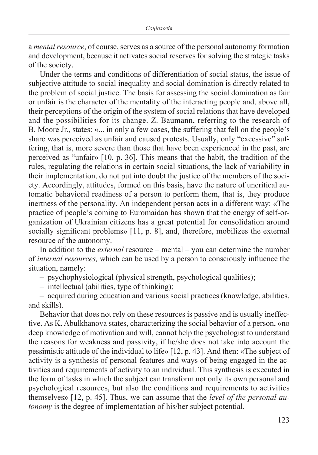a *mental resource*, of course, serves as a source of the personal autonomy formation and development, because it activates social reserves for solving the strategic tasks of the society.

Under the terms and conditions of differentiation of social status, the issue of subjective attitude to social inequality and social domination is directly related to the problem of social justice. The basis for assessing the social domination as fair or unfair is the character of the mentality of the interacting people and, above all, their perceptions of the origin of the system of social relations that have developed and the possibilities for its change. Z. Baumann, referring to the research of B. Moore Jr., states: «... in only a few cases, the suffering that fell on the people's share was perceived as unfair and caused protests. Usually, only "excessive" suffering, that is, more severe than those that have been experienced in the past, are perceived as "unfair» [10, p. 36]. This means that the habit, the tradition of the rules, regulating the relations in certain social situations, the lack of variability in their implementation, do not put into doubt the justice of the members of the society. Accordingly, attitudes, formed on this basis, have the nature of uncritical automatic behavioral readiness of a person to perform them, that is, they produce inertness of the personality. An independent person acts in a different way: «The practice of people's coming to Euromaidan has shown that the energy of self-organization of Ukrainian citizens has a great potential for consolidation around socially significant problems» [11, p. 8], and, therefore, mobilizes the external resource of the autonomy.

In addition to the *external* resource – mental – you can determine the number of *internal resources,* which can be used by a person to consciously influence the situation, namely:

– psychophysiological (physical strength, psychological qualities);

– intellectual (abilities, type of thinking);

– acquired during education and various social practices (knowledge, abilities, and skills).

Behavior that does not rely on these resources is passive and is usually ineffective. As K. Abulkhanovа states, characterizing the social behavior of a person, «no deep knowledge of motivation and will, cannot help the psychologist to understand the reasons for weakness and passivity, if he/she does not take into account the pessimistic attitude of the individual to life» [12, p. 43]. And then: «The subject of activity is a synthesis of personal features and ways of being engaged in the activities and requirements of activity to an individual. This synthesis is executed in the form of tasks in which the subject can transform not only its own personal and psychological resources, but also the conditions and requirements to activities themselves» [12, p. 45]. Thus, we can assume that the *level of the personal autonomy* is the degree of implementation of his/her subject potential.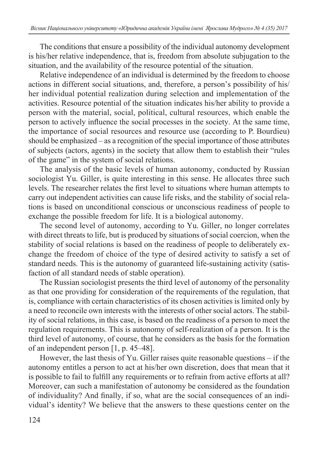The conditions that ensure a possibility of the individual autonomy development is his/her relative independence, that is, freedom from absolute subjugation to the situation, and the availability of the resource potential of the situation.

Relative independence of an individual is determined by the freedom to choose actions in different social situations, and, therefore, a person's possibility of his/ her individual potential realization during selection and implementation of the activities. Resource potential of the situation indicates his/her ability to provide a person with the material, social, political, cultural resources, which enable the person to actively influence the social processes in the society. At the same time, the importance of social resources and resource use (according to P. Bourdieu) should be emphasized – as a recognition of the special importance of those attributes of subjects (actors, agents) in the society that allow them to establish their "rules of the game" in the system of social relations.

The analysis of the basic levels of human autonomy, conducted by Russian sociologist Yu. Giller, is quite interesting in this sense. He allocates three such levels. The researcher relates the first level to situations where human attempts to carry out independent activities can cause life risks, and the stability of social relations is based on unconditional conscious or unconscious readiness of people to exchange the possible freedom for life. It is a biological autonomy.

The second level of autonomy, according to Yu. Giller, no longer correlates with direct threats to life, but is produced by situations of social coercion, when the stability of social relations is based on the readiness of people to deliberately exchange the freedom of choice of the type of desired activity to satisfy a set of standard needs. This is the autonomy of guaranteed life-sustaining activity (satisfaction of all standard needs of stable operation).

The Russian sociologist presents the third level of autonomy of the personality as that one providing for consideration of the requirements of the regulation, that is, compliance with certain characteristics of its chosen activities is limited only by a need to reconcile own interests with the interests of other social actors. The stability of social relations, in this case, is based on the readiness of a person to meet the regulation requirements. This is autonomy of self-realization of a person. It is the third level of autonomy, of course, that he considers as the basis for the formation of an independent person [1, p. 45–48].

However, the last thesis of Yu. Giller raises quite reasonable questions – if the autonomy entitles a person to act at his/her own discretion, does that mean that it is possible to fail to fulfill any requirements or to refrain from active efforts at all? Moreover, can such a manifestation of autonomy be considered as the foundation of individuality? And finally, if so, what are the social consequences of an individual's identity? We believe that the answers to these questions center on the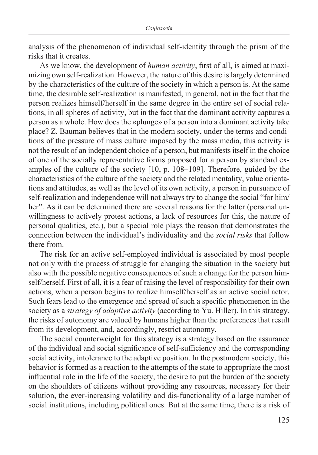analysis of the phenomenon of individual self-identity through the prism of the risks that it creates.

As we know, the development of *human activity*, first of all, is aimed at maximizing own self-realization. However, the nature of this desire is largely determined by the characteristics of the culture of the society in which a person is. At the same time, the desirable self-realization is manifested, in general, not in the fact that the person realizes himself/herself in the same degree in the entire set of social relations, in all spheres of activity, but in the fact that the dominant activity captures a person as a whole. How does the «plunge» of a person into a dominant activity take place? Z. Bauman believes that in the modern society, under the terms and conditions of the pressure of mass culture imposed by the mass media, this activity is not the result of an independent choice of a person, but manifests itself in the choice of one of the socially representative forms proposed for a person by standard examples of the culture of the society [10, p. 108–109]. Therefore, guided by the characteristics of the culture of the society and the related mentality, value orientations and attitudes, as well as the level of its own activity, a person in pursuance of self-realization and independence will not always try to change the social "for him/ her". As it can be determined there are several reasons for the latter (personal unwillingness to actively protest actions, a lack of resources for this, the nature of personal qualities, etc.), but a special role plays the reason that demonstrates the connection between the individual's individuality and the *social risks* that follow there from.

The risk for an active self-employed individual is associated by most people not only with the process of struggle for changing the situation in the society but also with the possible negative consequences of such a change for the person himself/herself. First of all, it is a fear of raising the level of responsibility for their own actions, when a person begins to realize himself/herself as an active social actor. Such fears lead to the emergence and spread of such a specific phenomenon in the society as a *strategy of adaptive activity* (according to Yu. Hiller). In this strategy, the risks of autonomy are valued by humans higher than the preferences that result from its development, and, accordingly, restrict autonomy.

The social counterweight for this strategy is a strategy based on the assurance of the individual and social significance of self-sufficiency and the corresponding social activity, intolerance to the adaptive position. In the postmodern society, this behavior is formed as a reaction to the attempts of the state to appropriate the most influential role in the life of the society, the desire to put the burden of the society on the shoulders of citizens without providing any resources, necessary for their solution, the ever-increasing volatility and dis-functionality of a large number of social institutions, including political ones. But at the same time, there is a risk of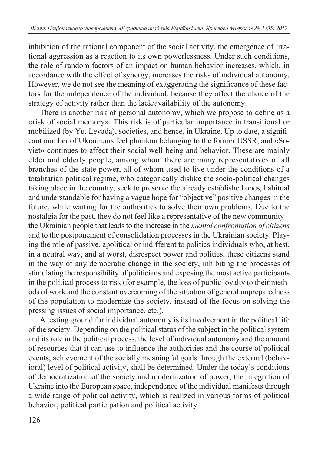inhibition of the rational component of the social activity, the emergence of irrational aggression as a reaction to its own powerlessness. Under such conditions, the role of random factors of an impact on human behavior increases, which, in accordance with the effect of synergy, increases the risks of individual autonomy. However, we do not see the meaning of exaggerating the significance of these factors for the independence of the individual, because they affect the choice of the strategy of activity rather than the lack/availability of the autonomy.

There is another risk of personal autonomy, which we propose to define as a «risk of social memory». This risk is of particular importance in transitional or mobilized (by Yu. Levada), societies, and hence, in Ukraine. Up to date, a significant number of Ukrainians feel phantom belonging to the former USSR, and «Soviet» continues to affect their social well-being and behavior. These are mainly elder and elderly people, among whom there are many representatives of all branches of the state power, all of whom used to live under the conditions of a totalitarian political regime, who categorically dislike the socio-political changes taking place in the country, seek to preserve the already established ones, habitual and understandable for having a vague hope for "objective" positive changes in the future, while waiting for the authorities to solve their own problems. Due to the nostalgia for the past, they do not feel like a representative of the new community – the Ukrainian people that leads to the increase in the *mental confrontation of citizens* and to the postponement of consolidation processes in the Ukrainian society. Playing the role of passive, apolitical or indifferent to politics individuals who, at best, in a neutral way, and at worst, disrespect power and politics, these citizens stand in the way of any democratic change in the society, inhibiting the processes of stimulating the responsibility of politicians and exposing the most active participants in the political process to risk (for example, the loss of public loyalty to their methods of work and the constant overcoming of the situation of general unpreparedness of the population to modernize the society, instead of the focus on solving the pressing issues of social importance, etc.).

A testing ground for individual autonomy is its involvement in the political life of the society. Depending on the political status of the subject in the political system and its role in the political process, the level of individual autonomy and the amount of resources that it can use to influence the authorities and the course of political events, achievement of the socially meaningful goals through the external (behavioral) level of political activity, shall be determined. Under the today's conditions of democratization of the society and modernization of power, the integration of Ukraine into the European space, independence of the individual manifests through a wide range of political activity, which is realized in various forms of political behavior, political participation and political activity.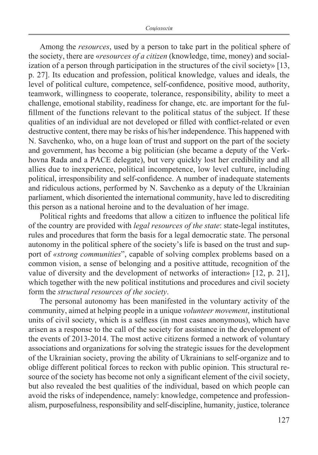Among the *resources*, used by a person to take part in the political sphere of the society, there are «*resources of a citizen* (knowledge, time, money) and socialization of a person through participation in the structures of the civil society» [13, p. 27]. Its education and profession, political knowledge, values and ideals, the level of political culture, competence, self-confidence, positive mood, authority, teamwork, willingness to cooperate, tolerance, responsibility, ability to meet a challenge, emotional stability, readiness for change, etc. are important for the fulfillment of the functions relevant to the political status of the subject. If these qualities of an individual are not developed or filled with conflict-related or even destructive content, there may be risks of his/her independence. This happened with N. Savchenko, who, on a huge loan of trust and support on the part of the society and government, has become a big politician (she became a deputy of the Verkhovna Rada and a PACE delegate), but very quickly lost her credibility and all allies due to inexperience, political incompetence, low level culture, including political, irresponsibility and self-confidence. A number of inadequate statements and ridiculous actions, performed by N. Savchenko as a deputy of the Ukrainian parliament, which disoriented the international community, have led to discrediting this person as a national heroine and to the devaluation of her image.

Political rights and freedoms that allow a citizen to influence the political life of the country are provided with *legal resources of the state*: state-legal institutes, rules and procedures that form the basis for a legal democratic state. The personal autonomy in the political sphere of the society's life is based on the trust and support of *«strong communities*", capable of solving complex problems based on a common vision, a sense of belonging and a positive attitude, recognition of the value of diversity and the development of networks of interaction» [12, p. 21], which together with the new political institutions and procedures and civil society form the *structural resources of the society*.

The personal autonomy has been manifested in the voluntary activity of the community, aimed at helping people in a unique *volunteer movement*, institutional units of civil society, which is a selfless (in most cases anonymous), which have arisen as a response to the call of the society for assistance in the development of the events of 2013-2014. The most active citizens formed a network of voluntary associations and organizations for solving the strategic issues for the development of the Ukrainian society, proving the ability of Ukrainians to self-organize and to oblige different political forces to reckon with public opinion. This structural resource of the society has become not only a significant element of the civil society, but also revealed the best qualities of the individual, based on which people can avoid the risks of independence, namely: knowledge, competence and professionalism, purposefulness, responsibility and self-discipline, humanity, justice, tolerance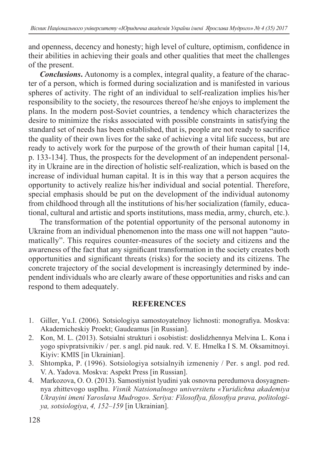and openness, decency and honesty; high level of culture, optimism, confidence in their abilities in achieving their goals and other qualities that meet the challenges of the present.

*Conclusions***.** Autonomy is a complex, integral quality, a feature of the character of a person, which is formed during socialization and is manifested in various spheres of activity. The right of an individual to self-realization implies his/her responsibility to the society, the resources thereof he/she enjoys to implement the plans. In the modern post-Soviet countries, a tendency which characterizes the desire to minimize the risks associated with possible constraints in satisfying the standard set of needs has been established, that is, people are not ready to sacrifice the quality of their own lives for the sake of achieving a vital life success, but are ready to actively work for the purpose of the growth of their human capital [14, p. 133-134]. Thus, the prospects for the development of an independent personality in Ukraine are in the direction of holistic self-realization, which is based on the increase of individual human capital. It is in this way that a person acquires the opportunity to actively realize his/her individual and social potential. Therefore, special emphasis should be put on the development of the individual autonomy from childhood through all the institutions of his/her socialization (family, educational, cultural and artistic and sports institutions, mass media, army, church, etc.).

The transformation of the potential opportunity of the personal autonomy in Ukraine from an individual phenomenon into the mass one will not happen "automatically". This requires counter-measures of the society and citizens and the awareness of the fact that any significant transformation in the society creates both opportunities and significant threats (risks) for the society and its citizens. The concrete trajectory of the social development is increasingly determined by independent individuals who are clearly aware of these opportunities and risks and can respond to them adequately.

## **REFERENCES**

- 1. Giller, Yu.I. (2006). Sotsiologiya samostoyatelnoy lichnosti: monografiya. Moskva: Akademicheskiy Proekt; Gaudeamus [in Russian].
- 2. Kon, M. L. (2013). Sotsialni strukturi i osobistist: doslidzhennya Melvina L. Kona i yogo spivpratsivnikiv / per. s angl. pid nauk. red. V. E. Hmelka I S. M. Oksamitnoyi. Kiyiv: KMIS [in Ukrainian].
- 3. Shtompka, P. (1996). Sotsiologiya sotsialnyih izmeneniy / Per. s angl. pod red. V. A. Yadova. Moskva: Aspekt Press [in Russian].
- 4. Markozova, O. O. (2013). Samostiynist lyudini yak osnovna peredumova dosyagnennya zhittevogo uspIhu. *Visnik Natsionalnogo universitetu «Yuridichna akademiya Ukrayini imeni Yaroslava Mudrogo». Seriya: FilosofIya, filosofiya prava, politologiya, sotsiologiya*, *4, 152–159* [in Ukrainian].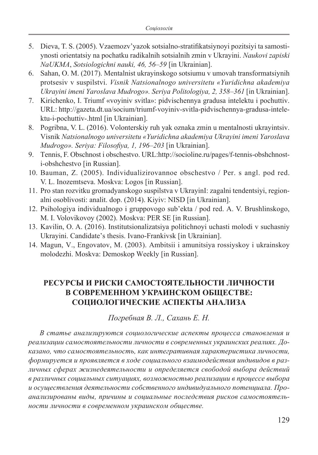- 5. Dieva, T. S. (2005). Vzaemozv'yazok sotsialno-stratifikatsiynoyi pozitsiyi ta samostiynosti orientatsiy na pochatku radikalnih sotsialnih zmin v Ukrayini. *Naukovi zapiski NaUKMA*, *Sotsiologichni nauki, 46, 56–59* [in Ukrainian].
- 6. Sahan, O. M. (2017). Mentalnist ukrayinskogo sotsiumu v umovah transformatsiynih protsesiv v suspilstvi. *Visnik Natsionalnogo universitetu «Yuridichna akademiya Ukrayini imeni Yaroslava Mudrogo». Seriya Politologiya, 2, 358–361* [in Ukrainian].
- 7. Kirichenko, I. Triumf «voyiniv svitla»: pidvischennya gradusa intelektu i pochuttiv. URL: http://gazeta.dt.ua/socium/triumf-voyiniv-svitla-pidvischennya-gradusa-intelektu-i-pochuttiv-.html [in Ukrainian].
- 8. Pogribna, V. L. (2016). Volonterskiy ruh yak oznaka zmin u mentalnosti ukrayintsiv. Visnik *Natsionalnogo universitetu «Yuridichna akademiya Ukrayini imeni Yaroslava Mudrogo». Seriya: Filosofiya, 1, 196–203* [in Ukrainian].
- 9. Tennis, F. Obschnost i obschestvo. URL:http://socioline.ru/pages/f-tennis-obshchnosti-obshchestvo [in Russian].
- 10. Bauman, Z. (2005). Individualizirovannoe obschestvo / Per. s angl. pod red. V. L. Inozemtseva. Moskva: Logos [in Russian].
- 11. Pro stan rozvitku gromadyanskogo suspilstva v UkrayinI: zagalni tendentsiyi, regionalni osoblivosti: analit. dop. (2014). Kiyiv: NISD [in Ukrainian].
- 12. Psihologiya individualnogo i gruppovogo sub'ekta / pod red. A. V. Brushlinskogo, M. I. Volovikovoy (2002). Moskva: PER SE [in Russian].
- 13. Kavilin, O. A. (2016). Institutsionalizatsiya politichnoyi uchasti molodi v suchasniy Ukrayini. Candidate's thesis. Ivano-Frankivsk [in Ukrainian].
- 14. Magun, V., Engovatov, M. (2003). Ambitsii i amunitsiya rossiyskoy i ukrainskoy molodezhi. Moskva: Demoskop Weekly [in Russian].

## **РЕСУРСЫ И РИСКИ САМОСТОЯТЕЛЬНОСТИ ЛИЧНОСТИ В СОВРЕМЕННОМ УКРАИНСКОМ ОБЩЕСТВЕ: СОЦИОЛОГИЧЕСКИЕ АСПЕКТЫ АНАЛИЗА**

*Погребная В. Л., Сахань Е. Н.*

*В статье анализируются социологические аспекты процесса становления и реализации самостоятельности личности в современных украинских реалиях. Доказано, что самостоятельность, как интегративная характеристика личности, формируется и проявляется в ходе социального взаимодействия индивидов в различных сферах жизнедеятельности и определяется свободой выбора действий в различных социальных ситуациях, возможностью реализации в процессе выбора и осуществления деятельности собственного индивидуального потенциала. Проанализированы виды, причины и социальные последствия рисков самостоятельности личности в современном украинском обществе.*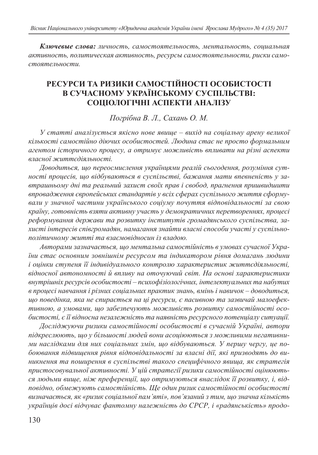*Ключевые слова: личность, самостоятельность, ментальность, социальная активность, политическая активность, ресурсы самостоятельности, риски самостоятельности.*

#### **РЕСУРСИ ТА РИЗИКИ САМОСТІЙНОСТІ ОСОБИСТОСТІ В СУЧАСНОМУ УКРАЇНСЬКОМУ СУСПІЛЬСТВІ: СОЦІОЛОГІЧНІ АСПЕКТИ АНАЛІЗУ**

*Погрібна В. Л., Сахань О. М.*

*У статті аналізується якісно нове явище – вихід на соціальну арену великої кількості самостійно діючих особистостей. Людина стає не просто формальним агентом історичного процесу, а отримує можливість впливати на різні аспекти власної життєдіяльності.*

*Доводиться, що переосмислення українцями реалій сьогодення, розуміння сутності процесів, що відбуваються в суспільстві, бажання мати впевненість у завтрашньому дні та реальний захист своїх прав і свобод, прагнення пришвидшити впровадження європейських стандартів у всіх сферах суспільного життя сформували у значної частини українського соціуму почуття відповідальності за свою країну, готовність взяти активну участь у демократичних перетвореннях, процесі реформування держави та розвитку інститутів громадянського суспільства, захисті інтересів співгромадян, намагання знайти власні способи участі у суспільнополітичному житті та взаємовідносин із владою.*

*Авторами зазначається, що ментальна самостійність в умовах сучасної України стає основним зовнішнім ресурсом та індикатором рівня домагань людини і оцінки ступеня її індивідуального контролю характеристик життєдіяльності, відносної автономності й впливу на оточуючий світ. На основі характеристики внутрішніх ресурсів особистості – психофізіологічних, інтелектуальних та набутих в процесі навчання і різних соціальних практик знань, вмінь і навичок – доводиться, що поведінка, яка не спирається на ці ресурси, є пасивною та зазвичай малоефективною, а умовами, що забезпечують можливість розвитку самостійності особистості, є її відносна незалежність та наявність ресурсного потенціалу ситуації.*

*Досліджуючи ризики самостійності особистості в сучасній Україні, автори підкреслюють, що у більшості людей вони асоціюються з можливими негативними наслідками для них соціальних змін, що відбуваються. У першу чергу, це побоювання підвищення рівня відповідальності за власні дії, які призводять до виникнення та поширення в суспільстві такого специфічного явища, як стратегія пристосовувальної активності. У цій стратегії ризики самостійності оцінюються людьми вище, ніж преференції, що отримуються внаслідок її розвитку, і, відповідно, обмежують самостійність. Ще один ризик самостійності особистості визначається, як «ризик соціальної пам'яті», пов'язаний з тим, що значна кількість українців досі відчуває фантомну належність до СРСР, і «радянськість» продо-*